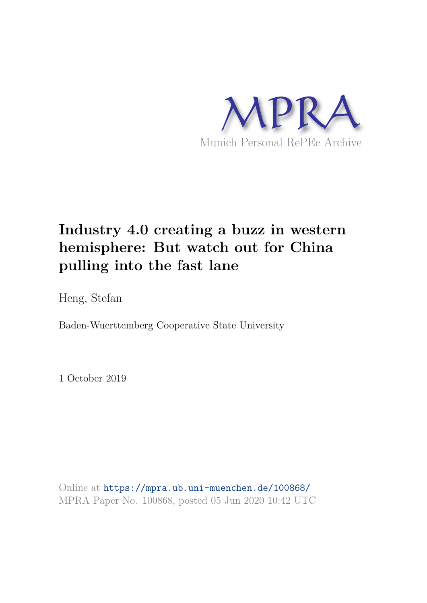

# **Industry 4.0 creating a buzz in western hemisphere: But watch out for China pulling into the fast lane**

Heng, Stefan

Baden-Wuerttemberg Cooperative State University

1 October 2019

Online at https://mpra.ub.uni-muenchen.de/100868/ MPRA Paper No. 100868, posted 05 Jun 2020 10:42 UTC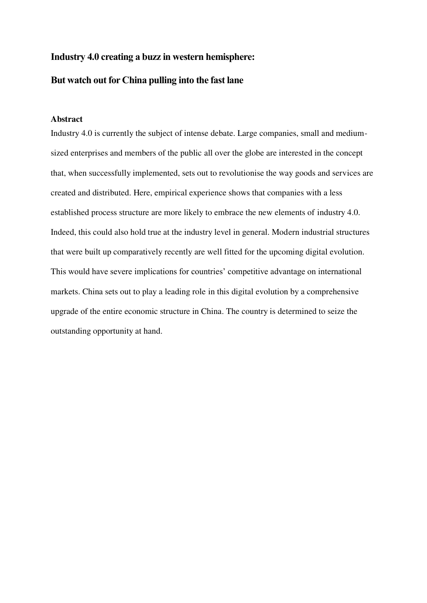# **Industry 4.0 creating a buzz in western hemisphere:**

# **But watch out for China pulling into the fast lane**

#### <span id="page-1-0"></span>**Abstract**

Industry 4.0 is currently the subject of intense debate. Large companies, small and mediumsized enterprises and members of the public all over the globe are interested in the concept that, when successfully implemented, sets out to revolutionise the way goods and services are created and distributed. Here, empirical experience shows that companies with a less established process structure are more likely to embrace the new elements of industry 4.0. Indeed, this could also hold true at the industry level in general. Modern industrial structures that were built up comparatively recently are well fitted for the upcoming digital evolution. This would have severe implications for countries' competitive advantage on international markets. China sets out to play a leading role in this digital evolution by a comprehensive upgrade of the entire economic structure in China. The country is determined to seize the outstanding opportunity at hand.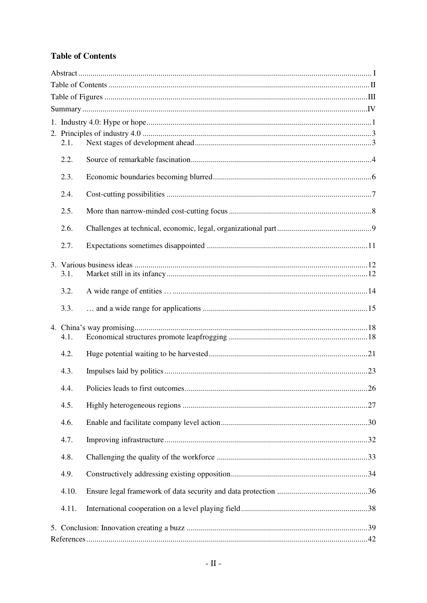# <span id="page-2-0"></span>**Table of Contents**

|  | 2.1.  |                                        |  |  |  |
|--|-------|----------------------------------------|--|--|--|
|  | 2.2.  |                                        |  |  |  |
|  | 2.3.  |                                        |  |  |  |
|  | 2.4.  |                                        |  |  |  |
|  | 2.5.  |                                        |  |  |  |
|  | 2.6.  |                                        |  |  |  |
|  | 2.7.  |                                        |  |  |  |
|  |       |                                        |  |  |  |
|  | 3.1.  |                                        |  |  |  |
|  | 3.2.  |                                        |  |  |  |
|  | 3.3.  |                                        |  |  |  |
|  | 4.1.  |                                        |  |  |  |
|  | 4.2.  |                                        |  |  |  |
|  | 4.3.  |                                        |  |  |  |
|  | 4.4.  | Policies leads to first outcomes<br>26 |  |  |  |
|  | 4.5.  |                                        |  |  |  |
|  | 4.6.  |                                        |  |  |  |
|  | 4.7.  |                                        |  |  |  |
|  | 4.8.  |                                        |  |  |  |
|  | 4.9.  |                                        |  |  |  |
|  | 4.10. |                                        |  |  |  |
|  | 4.11. |                                        |  |  |  |
|  |       |                                        |  |  |  |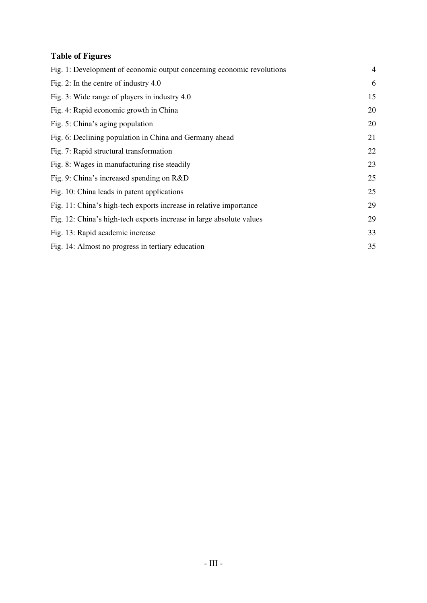# <span id="page-3-0"></span>**Table of Figures**

| Fig. 1: Development of economic output concerning economic revolutions | $\overline{4}$ |
|------------------------------------------------------------------------|----------------|
| Fig. 2: In the centre of industry $4.0$                                | 6              |
| Fig. 3: Wide range of players in industry 4.0                          | 15             |
| Fig. 4: Rapid economic growth in China                                 | 20             |
| Fig. 5: China's aging population                                       | 20             |
| Fig. 6: Declining population in China and Germany ahead                | 21             |
| Fig. 7: Rapid structural transformation                                | 22             |
| Fig. 8: Wages in manufacturing rise steadily                           | 23             |
| Fig. 9: China's increased spending on R&D                              | 25             |
| Fig. 10: China leads in patent applications                            | 25             |
| Fig. 11: China's high-tech exports increase in relative importance     | 29             |
| Fig. 12: China's high-tech exports increase in large absolute values   | 29             |
| Fig. 13: Rapid academic increase                                       | 33             |
| Fig. 14: Almost no progress in tertiary education                      | 35             |
|                                                                        |                |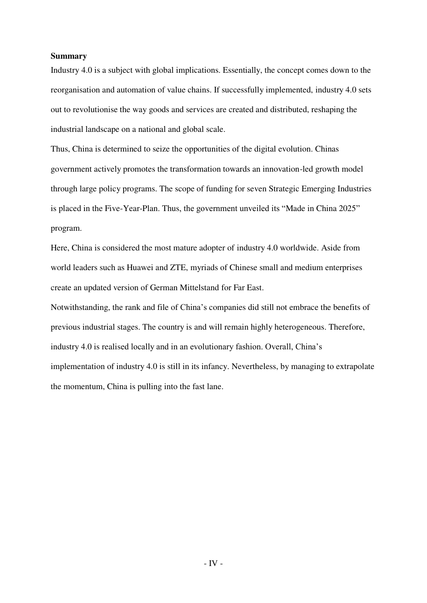#### <span id="page-4-0"></span>**Summary**

Industry 4.0 is a subject with global implications. Essentially, the concept comes down to the reorganisation and automation of value chains. If successfully implemented, industry 4.0 sets out to revolutionise the way goods and services are created and distributed, reshaping the industrial landscape on a national and global scale.

Thus, China is determined to seize the opportunities of the digital evolution. Chinas government actively promotes the transformation towards an innovation-led growth model through large policy programs. The scope of funding for seven Strategic Emerging Industries is placed in the Five-Year-Plan. Thus, the government unveiled its "Made in China 2025" program.

Here, China is considered the most mature adopter of industry 4.0 worldwide. Aside from world leaders such as Huawei and ZTE, myriads of Chinese small and medium enterprises create an updated version of German Mittelstand for Far East.

Notwithstanding, the rank and file of China's companies did still not embrace the benefits of previous industrial stages. The country is and will remain highly heterogeneous. Therefore, industry 4.0 is realised locally and in an evolutionary fashion. Overall, China's implementation of industry 4.0 is still in its infancy. Nevertheless, by managing to extrapolate the momentum, China is pulling into the fast lane.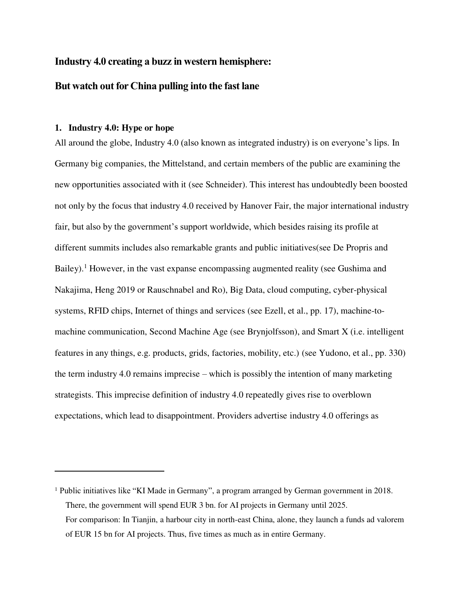# **Industry 4.0 creating a buzz in western hemisphere:**

# **But watch out for China pulling into the fast lane**

#### **1. Industry 4.0: Hype or hope**

 $\overline{a}$ 

<span id="page-5-0"></span>All around the globe, Industry 4.0 (also known as integrated industry) is on everyone's lips. In Germany big companies, the Mittelstand, and certain members of the public are examining the new opportunities associated with it (see Schneider). This interest has undoubtedly been boosted not only by the focus that industry 4.0 received by Hanover Fair, the major international industry fair, but also by the government's support worldwide, which besides raising its profile at different summits includes also remarkable grants and public initiatives(see De Propris and Bailey).<sup>1</sup> However, in the vast expanse encompassing augmented reality (see Gushima and Nakajima, Heng 2019 or Rauschnabel and Ro), Big Data, cloud computing, cyber-physical systems, RFID chips, Internet of things and services (see Ezell, et al., pp. 17), machine-tomachine communication, Second Machine Age (see Brynjolfsson), and Smart X (i.e. intelligent features in any things, e.g. products, grids, factories, mobility, etc.) (see Yudono, et al., pp. 330) the term industry 4.0 remains imprecise – which is possibly the intention of many marketing strategists. This imprecise definition of industry 4.0 repeatedly gives rise to overblown expectations, which lead to disappointment. Providers advertise industry 4.0 offerings as

<sup>&</sup>lt;sup>1</sup> Public initiatives like "KI Made in Germany", a program arranged by German government in 2018. There, the government will spend EUR 3 bn. for AI projects in Germany until 2025. For comparison: In Tianjin, a harbour city in north-east China, alone, they launch a funds ad valorem of EUR 15 bn for AI projects. Thus, five times as much as in entire Germany.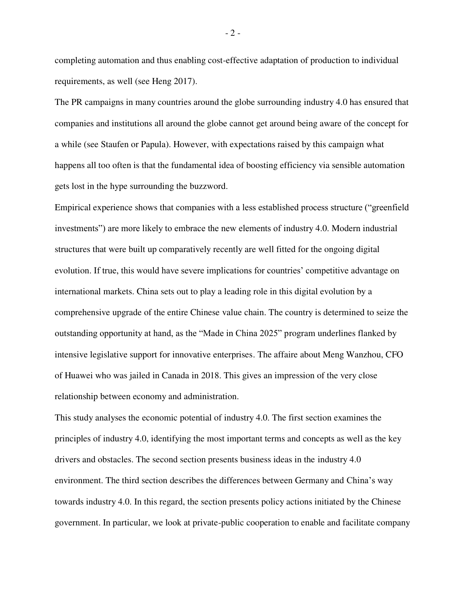completing automation and thus enabling cost-effective adaptation of production to individual requirements, as well (see Heng 2017).

The PR campaigns in many countries around the globe surrounding industry 4.0 has ensured that companies and institutions all around the globe cannot get around being aware of the concept for a while (see Staufen or Papula). However, with expectations raised by this campaign what happens all too often is that the fundamental idea of boosting efficiency via sensible automation gets lost in the hype surrounding the buzzword.

Empirical experience shows that companies with a less established process structure ("greenfield investments") are more likely to embrace the new elements of industry 4.0. Modern industrial structures that were built up comparatively recently are well fitted for the ongoing digital evolution. If true, this would have severe implications for countries' competitive advantage on international markets. China sets out to play a leading role in this digital evolution by a comprehensive upgrade of the entire Chinese value chain. The country is determined to seize the outstanding opportunity at hand, as the "Made in China 2025" program underlines flanked by intensive legislative support for innovative enterprises. The affaire about Meng Wanzhou, CFO of Huawei who was jailed in Canada in 2018. This gives an impression of the very close relationship between economy and administration.

This study analyses the economic potential of industry 4.0. The first section examines the principles of industry 4.0, identifying the most important terms and concepts as well as the key drivers and obstacles. The second section presents business ideas in the industry 4.0 environment. The third section describes the differences between Germany and China's way towards industry 4.0. In this regard, the section presents policy actions initiated by the Chinese government. In particular, we look at private-public cooperation to enable and facilitate company

- 2 -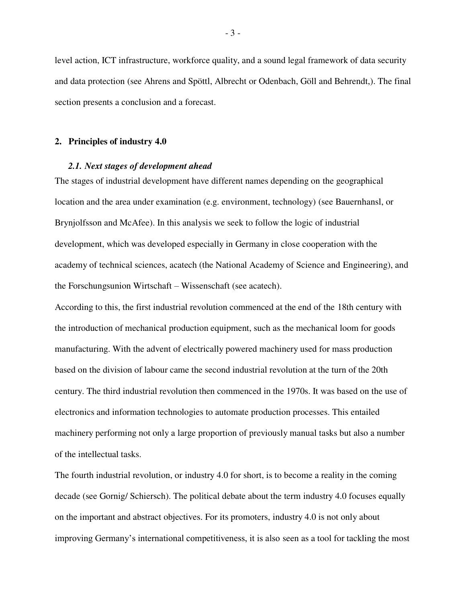level action, ICT infrastructure, workforce quality, and a sound legal framework of data security and data protection (see Ahrens and Spöttl, Albrecht or Odenbach, Göll and Behrendt,). The final section presents a conclusion and a forecast.

#### **2. Principles of industry 4.0**

#### <span id="page-7-0"></span>*2.1. Next stages of development ahead*

<span id="page-7-1"></span>The stages of industrial development have different names depending on the geographical location and the area under examination (e.g. environment, technology) (see Bauernhansl, or Brynjolfsson and McAfee). In this analysis we seek to follow the logic of industrial development, which was developed especially in Germany in close cooperation with the academy of technical sciences, acatech (the National Academy of Science and Engineering), and the Forschungsunion Wirtschaft – Wissenschaft (see acatech).

According to this, the first industrial revolution commenced at the end of the 18th century with the introduction of mechanical production equipment, such as the mechanical loom for goods manufacturing. With the advent of electrically powered machinery used for mass production based on the division of labour came the second industrial revolution at the turn of the 20th century. The third industrial revolution then commenced in the 1970s. It was based on the use of electronics and information technologies to automate production processes. This entailed machinery performing not only a large proportion of previously manual tasks but also a number of the intellectual tasks.

The fourth industrial revolution, or industry 4.0 for short, is to become a reality in the coming decade (see Gornig/ Schiersch). The political debate about the term industry 4.0 focuses equally on the important and abstract objectives. For its promoters, industry 4.0 is not only about improving Germany's international competitiveness, it is also seen as a tool for tackling the most

- 3 -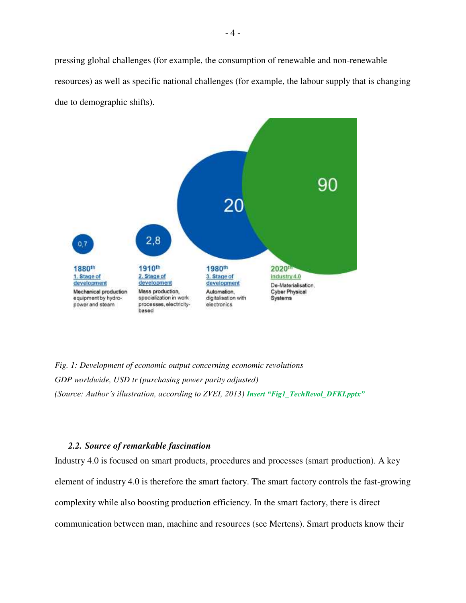pressing global challenges (for example, the consumption of renewable and non-renewable resources) as well as specific national challenges (for example, the labour supply that is changing due to demographic shifts).



<span id="page-8-1"></span>*Fig. 1: Development of economic output concerning economic revolutions GDP worldwide, USD tr (purchasing power parity adjusted) (Source: Author's illustration, according to ZVEI, 2013) Insert "Fig1\_TechRevol\_DFKI.pptx"*

## *2.2. Source of remarkable fascination*

<span id="page-8-0"></span>Industry 4.0 is focused on smart products, procedures and processes (smart production). A key element of industry 4.0 is therefore the smart factory. The smart factory controls the fast-growing complexity while also boosting production efficiency. In the smart factory, there is direct communication between man, machine and resources (see Mertens). Smart products know their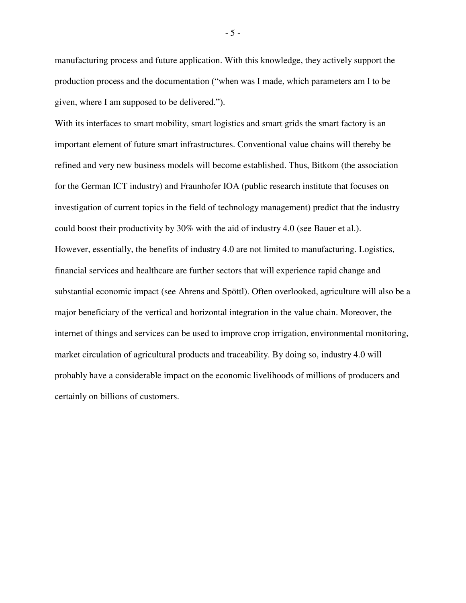manufacturing process and future application. With this knowledge, they actively support the production process and the documentation ("when was I made, which parameters am I to be given, where I am supposed to be delivered.").

With its interfaces to smart mobility, smart logistics and smart grids the smart factory is an important element of future smart infrastructures. Conventional value chains will thereby be refined and very new business models will become established. Thus, Bitkom (the association for the German ICT industry) and Fraunhofer IOA (public research institute that focuses on investigation of current topics in the field of technology management) predict that the industry could boost their productivity by 30% with the aid of industry 4.0 (see Bauer et al.). However, essentially, the benefits of industry 4.0 are not limited to manufacturing. Logistics, financial services and healthcare are further sectors that will experience rapid change and substantial economic impact (see Ahrens and Spöttl). Often overlooked, agriculture will also be a major beneficiary of the vertical and horizontal integration in the value chain. Moreover, the internet of things and services can be used to improve crop irrigation, environmental monitoring, market circulation of agricultural products and traceability. By doing so, industry 4.0 will probably have a considerable impact on the economic livelihoods of millions of producers and certainly on billions of customers.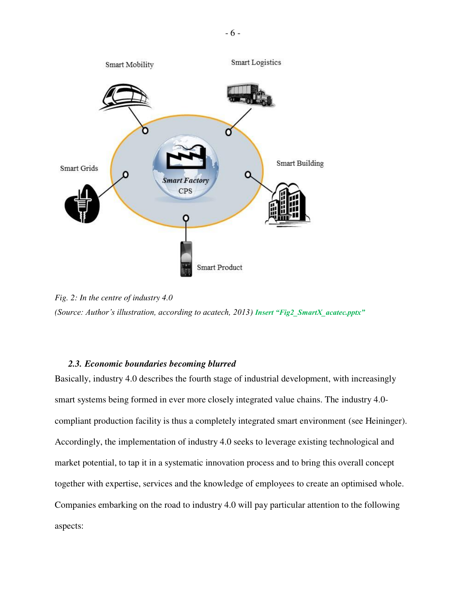

<span id="page-10-1"></span>*Fig. 2: In the centre of industry 4.0 (Source: Author's illustration, according to acatech, 2013) Insert "Fig2\_SmartX\_acatec.pptx"*

#### *2.3. Economic boundaries becoming blurred*

<span id="page-10-0"></span>Basically, industry 4.0 describes the fourth stage of industrial development, with increasingly smart systems being formed in ever more closely integrated value chains. The industry 4.0 compliant production facility is thus a completely integrated smart environment (see Heininger). Accordingly, the implementation of industry 4.0 seeks to leverage existing technological and market potential, to tap it in a systematic innovation process and to bring this overall concept together with expertise, services and the knowledge of employees to create an optimised whole. Companies embarking on the road to industry 4.0 will pay particular attention to the following aspects: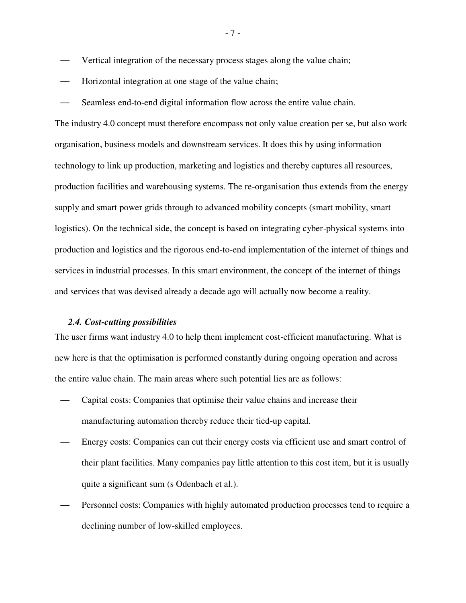- Vertical integration of the necessary process stages along the value chain;
- Horizontal integration at one stage of the value chain;
- Seamless end-to-end digital information flow across the entire value chain.

The industry 4.0 concept must therefore encompass not only value creation per se, but also work organisation, business models and downstream services. It does this by using information technology to link up production, marketing and logistics and thereby captures all resources, production facilities and warehousing systems. The re-organisation thus extends from the energy supply and smart power grids through to advanced mobility concepts (smart mobility, smart logistics). On the technical side, the concept is based on integrating cyber-physical systems into production and logistics and the rigorous end-to-end implementation of the internet of things and services in industrial processes. In this smart environment, the concept of the internet of things and services that was devised already a decade ago will actually now become a reality.

#### *2.4. Cost-cutting possibilities*

<span id="page-11-0"></span>The user firms want industry 4.0 to help them implement cost-efficient manufacturing. What is new here is that the optimisation is performed constantly during ongoing operation and across the entire value chain. The main areas where such potential lies are as follows:

- Capital costs: Companies that optimise their value chains and increase their manufacturing automation thereby reduce their tied-up capital.
- Energy costs: Companies can cut their energy costs via efficient use and smart control of their plant facilities. Many companies pay little attention to this cost item, but it is usually quite a significant sum (s Odenbach et al.).
- Personnel costs: Companies with highly automated production processes tend to require a declining number of low-skilled employees.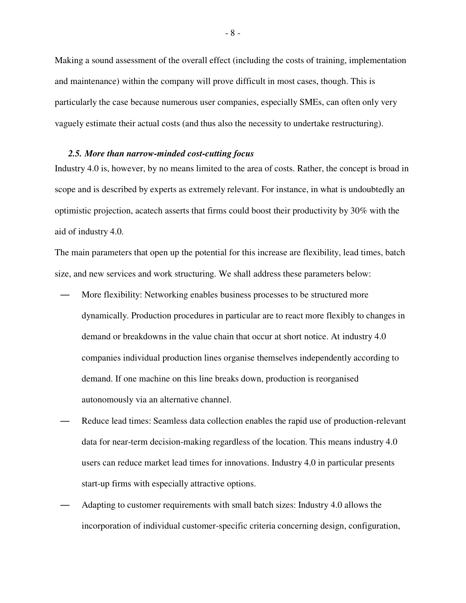Making a sound assessment of the overall effect (including the costs of training, implementation and maintenance) within the company will prove difficult in most cases, though. This is particularly the case because numerous user companies, especially SMEs, can often only very vaguely estimate their actual costs (and thus also the necessity to undertake restructuring).

#### *2.5. More than narrow-minded cost-cutting focus*

<span id="page-12-0"></span>Industry 4.0 is, however, by no means limited to the area of costs. Rather, the concept is broad in scope and is described by experts as extremely relevant. For instance, in what is undoubtedly an optimistic projection, acatech asserts that firms could boost their productivity by 30% with the aid of industry 4.0.

The main parameters that open up the potential for this increase are flexibility, lead times, batch size, and new services and work structuring. We shall address these parameters below:

- More flexibility: Networking enables business processes to be structured more dynamically. Production procedures in particular are to react more flexibly to changes in demand or breakdowns in the value chain that occur at short notice. At industry 4.0 companies individual production lines organise themselves independently according to demand. If one machine on this line breaks down, production is reorganised autonomously via an alternative channel.
- Reduce lead times: Seamless data collection enables the rapid use of production-relevant data for near-term decision-making regardless of the location. This means industry 4.0 users can reduce market lead times for innovations. Industry 4.0 in particular presents start-up firms with especially attractive options.
- Adapting to customer requirements with small batch sizes: Industry 4.0 allows the incorporation of individual customer-specific criteria concerning design, configuration,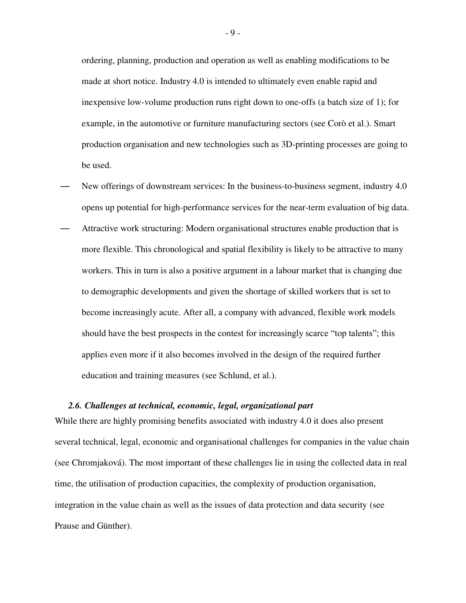ordering, planning, production and operation as well as enabling modifications to be made at short notice. Industry 4.0 is intended to ultimately even enable rapid and inexpensive low-volume production runs right down to one-offs (a batch size of 1); for example, in the automotive or furniture manufacturing sectors (see Corò et al.). Smart production organisation and new technologies such as 3D-printing processes are going to be used.

- New offerings of downstream services: In the business-to-business segment, industry 4.0 opens up potential for high-performance services for the near-term evaluation of big data.
- Attractive work structuring: Modern organisational structures enable production that is more flexible. This chronological and spatial flexibility is likely to be attractive to many workers. This in turn is also a positive argument in a labour market that is changing due to demographic developments and given the shortage of skilled workers that is set to become increasingly acute. After all, a company with advanced, flexible work models should have the best prospects in the contest for increasingly scarce "top talents"; this applies even more if it also becomes involved in the design of the required further education and training measures (see Schlund, et al.).

#### *2.6. Challenges at technical, economic, legal, organizational part*

<span id="page-13-0"></span>While there are highly promising benefits associated with industry 4.0 it does also present several technical, legal, economic and organisational challenges for companies in the value chain (see Chromjaková). The most important of these challenges lie in using the collected data in real time, the utilisation of production capacities, the complexity of production organisation, integration in the value chain as well as the issues of data protection and data security (see Prause and Günther).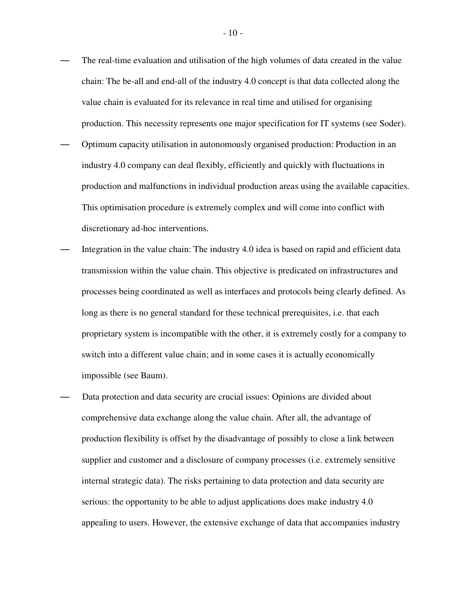- The real-time evaluation and utilisation of the high volumes of data created in the value chain: The be-all and end-all of the industry 4.0 concept is that data collected along the value chain is evaluated for its relevance in real time and utilised for organising production. This necessity represents one major specification for IT systems (see Soder). — Optimum capacity utilisation in autonomously organised production: Production in an industry 4.0 company can deal flexibly, efficiently and quickly with fluctuations in production and malfunctions in individual production areas using the available capacities. This optimisation procedure is extremely complex and will come into conflict with discretionary ad-hoc interventions.
- Integration in the value chain: The industry 4.0 idea is based on rapid and efficient data transmission within the value chain. This objective is predicated on infrastructures and processes being coordinated as well as interfaces and protocols being clearly defined. As long as there is no general standard for these technical prerequisites, i.e. that each proprietary system is incompatible with the other, it is extremely costly for a company to switch into a different value chain; and in some cases it is actually economically impossible (see Baum).
- Data protection and data security are crucial issues: Opinions are divided about comprehensive data exchange along the value chain. After all, the advantage of production flexibility is offset by the disadvantage of possibly to close a link between supplier and customer and a disclosure of company processes (i.e. extremely sensitive internal strategic data). The risks pertaining to data protection and data security are serious: the opportunity to be able to adjust applications does make industry 4.0 appealing to users. However, the extensive exchange of data that accompanies industry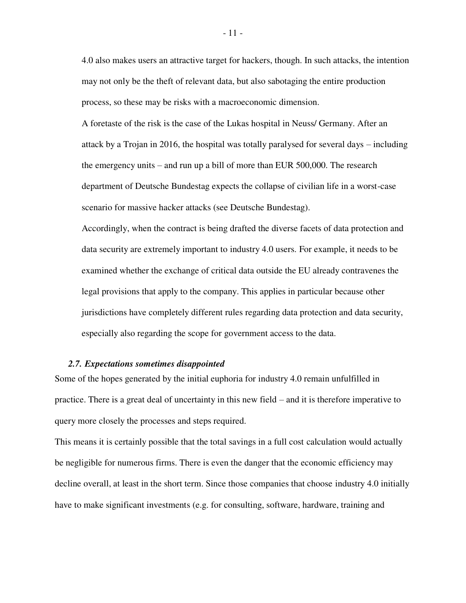4.0 also makes users an attractive target for hackers, though. In such attacks, the intention may not only be the theft of relevant data, but also sabotaging the entire production process, so these may be risks with a macroeconomic dimension.

A foretaste of the risk is the case of the Lukas hospital in Neuss/ Germany. After an attack by a Trojan in 2016, the hospital was totally paralysed for several days – including the emergency units – and run up a bill of more than EUR 500,000. The research department of Deutsche Bundestag expects the collapse of civilian life in a worst-case scenario for massive hacker attacks (see Deutsche Bundestag).

Accordingly, when the contract is being drafted the diverse facets of data protection and data security are extremely important to industry 4.0 users. For example, it needs to be examined whether the exchange of critical data outside the EU already contravenes the legal provisions that apply to the company. This applies in particular because other jurisdictions have completely different rules regarding data protection and data security, especially also regarding the scope for government access to the data.

#### *2.7. Expectations sometimes disappointed*

<span id="page-15-0"></span>Some of the hopes generated by the initial euphoria for industry 4.0 remain unfulfilled in practice. There is a great deal of uncertainty in this new field – and it is therefore imperative to query more closely the processes and steps required.

This means it is certainly possible that the total savings in a full cost calculation would actually be negligible for numerous firms. There is even the danger that the economic efficiency may decline overall, at least in the short term. Since those companies that choose industry 4.0 initially have to make significant investments (e.g. for consulting, software, hardware, training and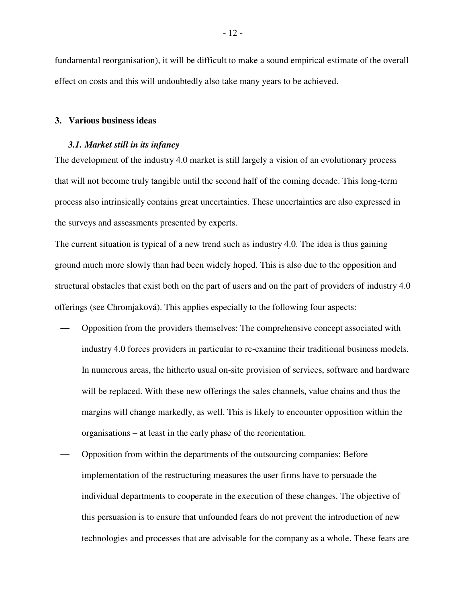fundamental reorganisation), it will be difficult to make a sound empirical estimate of the overall effect on costs and this will undoubtedly also take many years to be achieved.

#### **3. Various business ideas**

#### <span id="page-16-0"></span>*3.1. Market still in its infancy*

<span id="page-16-1"></span>The development of the industry 4.0 market is still largely a vision of an evolutionary process that will not become truly tangible until the second half of the coming decade. This long-term process also intrinsically contains great uncertainties. These uncertainties are also expressed in the surveys and assessments presented by experts.

The current situation is typical of a new trend such as industry 4.0. The idea is thus gaining ground much more slowly than had been widely hoped. This is also due to the opposition and structural obstacles that exist both on the part of users and on the part of providers of industry 4.0 offerings (see Chromjaková). This applies especially to the following four aspects:

- Opposition from the providers themselves: The comprehensive concept associated with industry 4.0 forces providers in particular to re-examine their traditional business models. In numerous areas, the hitherto usual on-site provision of services, software and hardware will be replaced. With these new offerings the sales channels, value chains and thus the margins will change markedly, as well. This is likely to encounter opposition within the organisations – at least in the early phase of the reorientation.
- Opposition from within the departments of the outsourcing companies: Before implementation of the restructuring measures the user firms have to persuade the individual departments to cooperate in the execution of these changes. The objective of this persuasion is to ensure that unfounded fears do not prevent the introduction of new technologies and processes that are advisable for the company as a whole. These fears are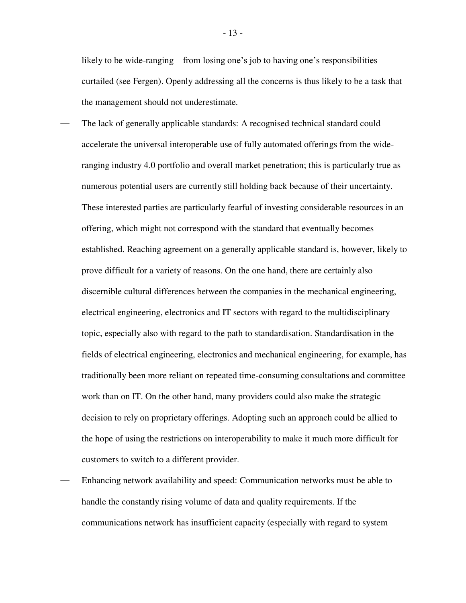likely to be wide-ranging – from losing one's job to having one's responsibilities curtailed (see Fergen). Openly addressing all the concerns is thus likely to be a task that the management should not underestimate.

- The lack of generally applicable standards: A recognised technical standard could accelerate the universal interoperable use of fully automated offerings from the wideranging industry 4.0 portfolio and overall market penetration; this is particularly true as numerous potential users are currently still holding back because of their uncertainty. These interested parties are particularly fearful of investing considerable resources in an offering, which might not correspond with the standard that eventually becomes established. Reaching agreement on a generally applicable standard is, however, likely to prove difficult for a variety of reasons. On the one hand, there are certainly also discernible cultural differences between the companies in the mechanical engineering, electrical engineering, electronics and IT sectors with regard to the multidisciplinary topic, especially also with regard to the path to standardisation. Standardisation in the fields of electrical engineering, electronics and mechanical engineering, for example, has traditionally been more reliant on repeated time-consuming consultations and committee work than on IT. On the other hand, many providers could also make the strategic decision to rely on proprietary offerings. Adopting such an approach could be allied to the hope of using the restrictions on interoperability to make it much more difficult for customers to switch to a different provider.
- Enhancing network availability and speed: Communication networks must be able to handle the constantly rising volume of data and quality requirements. If the communications network has insufficient capacity (especially with regard to system

- 13 -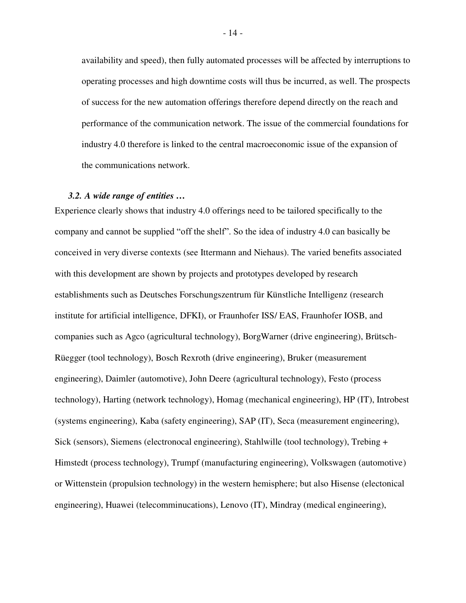availability and speed), then fully automated processes will be affected by interruptions to operating processes and high downtime costs will thus be incurred, as well. The prospects of success for the new automation offerings therefore depend directly on the reach and performance of the communication network. The issue of the commercial foundations for industry 4.0 therefore is linked to the central macroeconomic issue of the expansion of the communications network.

#### *3.2. A wide range of entities …*

<span id="page-18-0"></span>Experience clearly shows that industry 4.0 offerings need to be tailored specifically to the company and cannot be supplied "off the shelf". So the idea of industry 4.0 can basically be conceived in very diverse contexts (see Ittermann and Niehaus). The varied benefits associated with this development are shown by projects and prototypes developed by research establishments such as Deutsches Forschungszentrum für Künstliche Intelligenz (research institute for artificial intelligence, DFKI), or Fraunhofer ISS/ EAS, Fraunhofer IOSB, and companies such as Agco (agricultural technology), BorgWarner (drive engineering), Brütsch-Rüegger (tool technology), Bosch Rexroth (drive engineering), Bruker (measurement engineering), Daimler (automotive), John Deere (agricultural technology), Festo (process technology), Harting (network technology), Homag (mechanical engineering), HP (IT), Introbest (systems engineering), Kaba (safety engineering), SAP (IT), Seca (measurement engineering), Sick (sensors), Siemens (electronocal engineering), Stahlwille (tool technology), Trebing + Himstedt (process technology), Trumpf (manufacturing engineering), Volkswagen (automotive) or Wittenstein (propulsion technology) in the western hemisphere; but also Hisense (electonical engineering), Huawei (telecomminucations), Lenovo (IT), Mindray (medical engineering),

- 14 -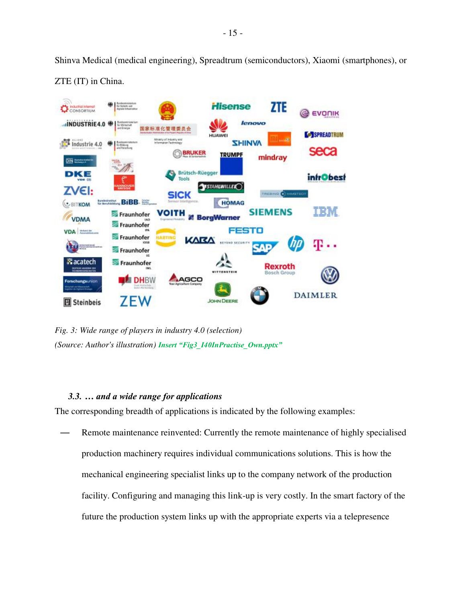Shinva Medical (medical engineering), Spreadtrum (semiconductors), Xiaomi (smartphones), or ZTE (IT) in China.



<span id="page-19-1"></span>*Fig. 3: Wide range of players in industry 4.0 (selection) (Source: Author's illustration) Insert "Fig3\_I40InPractise\_Own.pptx"*

## *3.3. … and a wide range for applications*

The corresponding breadth of applications is indicated by the following examples:

<span id="page-19-0"></span>Remote maintenance reinvented: Currently the remote maintenance of highly specialised production machinery requires individual communications solutions. This is how the mechanical engineering specialist links up to the company network of the production facility. Configuring and managing this link-up is very costly. In the smart factory of the future the production system links up with the appropriate experts via a telepresence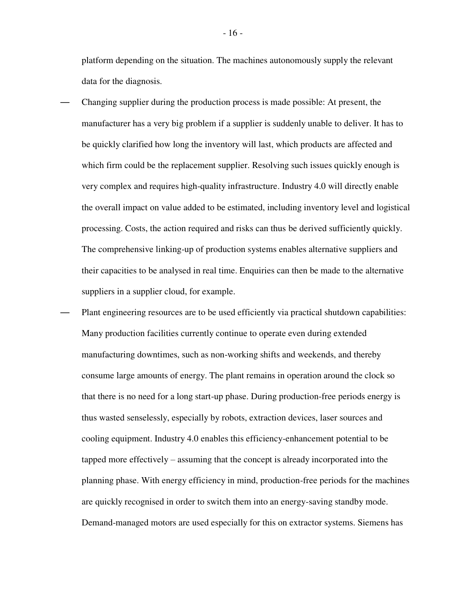platform depending on the situation. The machines autonomously supply the relevant data for the diagnosis.

- Changing supplier during the production process is made possible: At present, the manufacturer has a very big problem if a supplier is suddenly unable to deliver. It has to be quickly clarified how long the inventory will last, which products are affected and which firm could be the replacement supplier. Resolving such issues quickly enough is very complex and requires high-quality infrastructure. Industry 4.0 will directly enable the overall impact on value added to be estimated, including inventory level and logistical processing. Costs, the action required and risks can thus be derived sufficiently quickly. The comprehensive linking-up of production systems enables alternative suppliers and their capacities to be analysed in real time. Enquiries can then be made to the alternative suppliers in a supplier cloud, for example.
- Plant engineering resources are to be used efficiently via practical shutdown capabilities: Many production facilities currently continue to operate even during extended manufacturing downtimes, such as non-working shifts and weekends, and thereby consume large amounts of energy. The plant remains in operation around the clock so that there is no need for a long start-up phase. During production-free periods energy is thus wasted senselessly, especially by robots, extraction devices, laser sources and cooling equipment. Industry 4.0 enables this efficiency-enhancement potential to be tapped more effectively – assuming that the concept is already incorporated into the planning phase. With energy efficiency in mind, production-free periods for the machines are quickly recognised in order to switch them into an energy-saving standby mode. Demand-managed motors are used especially for this on extractor systems. Siemens has

- 16 -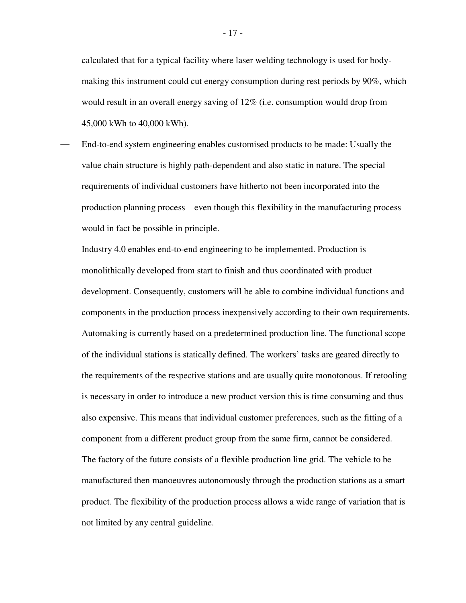calculated that for a typical facility where laser welding technology is used for bodymaking this instrument could cut energy consumption during rest periods by 90%, which would result in an overall energy saving of 12% (i.e. consumption would drop from 45,000 kWh to 40,000 kWh).

— End-to-end system engineering enables customised products to be made: Usually the value chain structure is highly path-dependent and also static in nature. The special requirements of individual customers have hitherto not been incorporated into the production planning process – even though this flexibility in the manufacturing process would in fact be possible in principle.

Industry 4.0 enables end-to-end engineering to be implemented. Production is monolithically developed from start to finish and thus coordinated with product development. Consequently, customers will be able to combine individual functions and components in the production process inexpensively according to their own requirements. Automaking is currently based on a predetermined production line. The functional scope of the individual stations is statically defined. The workers' tasks are geared directly to the requirements of the respective stations and are usually quite monotonous. If retooling is necessary in order to introduce a new product version this is time consuming and thus also expensive. This means that individual customer preferences, such as the fitting of a component from a different product group from the same firm, cannot be considered. The factory of the future consists of a flexible production line grid. The vehicle to be manufactured then manoeuvres autonomously through the production stations as a smart product. The flexibility of the production process allows a wide range of variation that is not limited by any central guideline.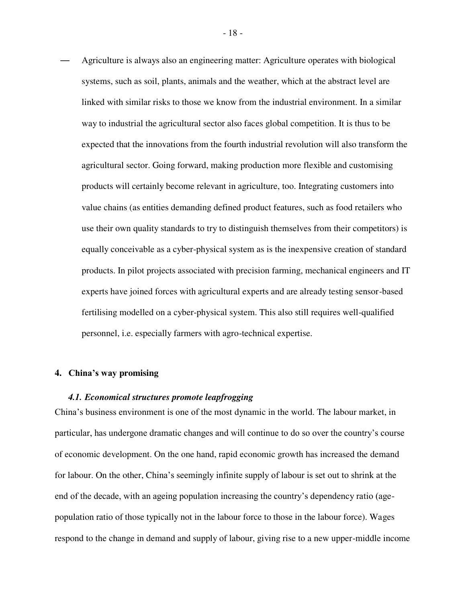— Agriculture is always also an engineering matter: Agriculture operates with biological systems, such as soil, plants, animals and the weather, which at the abstract level are linked with similar risks to those we know from the industrial environment. In a similar way to industrial the agricultural sector also faces global competition. It is thus to be expected that the innovations from the fourth industrial revolution will also transform the agricultural sector. Going forward, making production more flexible and customising products will certainly become relevant in agriculture, too. Integrating customers into value chains (as entities demanding defined product features, such as food retailers who use their own quality standards to try to distinguish themselves from their competitors) is equally conceivable as a cyber-physical system as is the inexpensive creation of standard products. In pilot projects associated with precision farming, mechanical engineers and IT experts have joined forces with agricultural experts and are already testing sensor-based fertilising modelled on a cyber-physical system. This also still requires well-qualified personnel, i.e. especially farmers with agro-technical expertise.

#### **4. China's way promising**

#### <span id="page-22-0"></span>*4.1. Economical structures promote leapfrogging*

<span id="page-22-1"></span>China's business environment is one of the most dynamic in the world. The labour market, in particular, has undergone dramatic changes and will continue to do so over the country's course of economic development. On the one hand, rapid economic growth has increased the demand for labour. On the other, China's seemingly infinite supply of labour is set out to shrink at the end of the decade, with an ageing population increasing the country's dependency ratio (agepopulation ratio of those typically not in the labour force to those in the labour force). Wages respond to the change in demand and supply of labour, giving rise to a new upper-middle income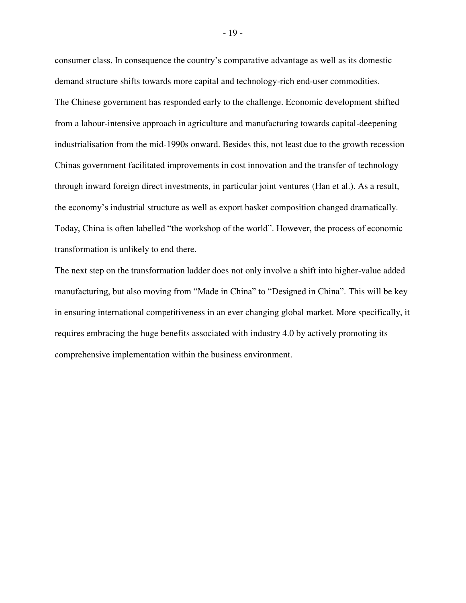consumer class. In consequence the country's comparative advantage as well as its domestic demand structure shifts towards more capital and technology-rich end-user commodities. The Chinese government has responded early to the challenge. Economic development shifted from a labour-intensive approach in agriculture and manufacturing towards capital-deepening industrialisation from the mid-1990s onward. Besides this, not least due to the growth recession Chinas government facilitated improvements in cost innovation and the transfer of technology through inward foreign direct investments, in particular joint ventures (Han et al.). As a result, the economy's industrial structure as well as export basket composition changed dramatically. Today, China is often labelled "the workshop of the world". However, the process of economic transformation is unlikely to end there.

The next step on the transformation ladder does not only involve a shift into higher-value added manufacturing, but also moving from "Made in China" to "Designed in China". This will be key in ensuring international competitiveness in an ever changing global market. More specifically, it requires embracing the huge benefits associated with industry 4.0 by actively promoting its comprehensive implementation within the business environment.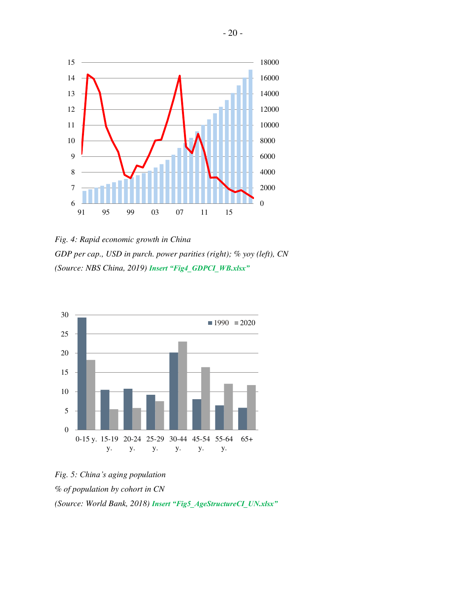

<span id="page-24-0"></span>*Fig. 4: Rapid economic growth in China GDP per cap., USD in purch. power parities (right); % yoy (left), CN (Source: NBS China, 2019) Insert "Fig4\_GDPCI\_WB.xlsx"*



<span id="page-24-1"></span>*Fig. 5: China's aging population % of population by cohort in CN (Source: World Bank, 2018) Insert "Fig5\_AgeStructureCI\_UN.xlsx"*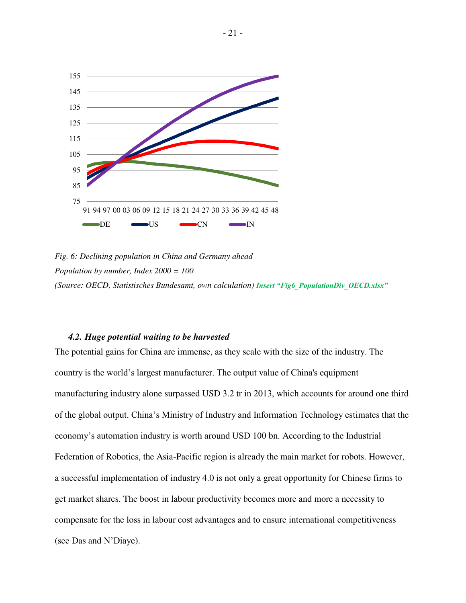

<span id="page-25-1"></span>*Fig. 6: Declining population in China and Germany ahead Population by number, Index 2000 = 100 (Source: OECD, Statistisches Bundesamt, own calculation) Insert "Fig6\_PopulationDiv\_OECD.xlsx"*

#### *4.2. Huge potential waiting to be harvested*

<span id="page-25-0"></span>The potential gains for China are immense, as they scale with the size of the industry. The country is the world's largest manufacturer. The output value of China's equipment manufacturing industry alone surpassed USD 3.2 tr in 2013, which accounts for around one third of the global output. China's Ministry of Industry and Information Technology estimates that the economy's automation industry is worth around USD 100 bn. According to the Industrial Federation of Robotics, the Asia-Pacific region is already the main market for robots. However, a successful implementation of industry 4.0 is not only a great opportunity for Chinese firms to get market shares. The boost in labour productivity becomes more and more a necessity to compensate for the loss in labour cost advantages and to ensure international competitiveness (see Das and N'Diaye).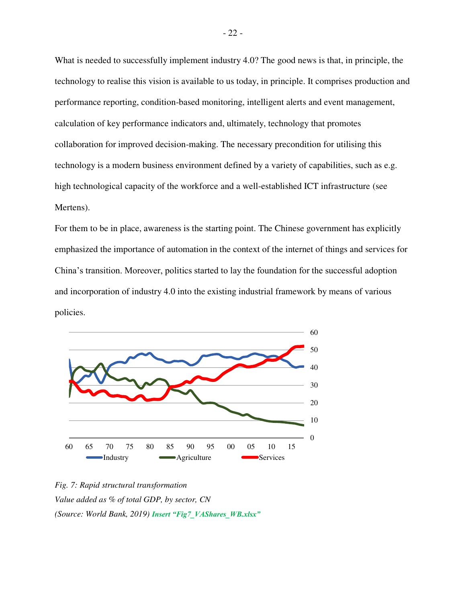What is needed to successfully implement industry 4.0? The good news is that, in principle, the technology to realise this vision is available to us today, in principle. It comprises production and performance reporting, condition-based monitoring, intelligent alerts and event management, calculation of key performance indicators and, ultimately, technology that promotes collaboration for improved decision-making. The necessary precondition for utilising this technology is a modern business environment defined by a variety of capabilities, such as e.g. high technological capacity of the workforce and a well-established ICT infrastructure (see Mertens).

For them to be in place, awareness is the starting point. The Chinese government has explicitly emphasized the importance of automation in the context of the internet of things and services for China's transition. Moreover, politics started to lay the foundation for the successful adoption and incorporation of industry 4.0 into the existing industrial framework by means of various policies.



<span id="page-26-0"></span>*Fig. 7: Rapid structural transformation Value added as % of total GDP, by sector, CN (Source: World Bank, 2019) Insert "Fig7\_VAShares\_WB.xlsx"*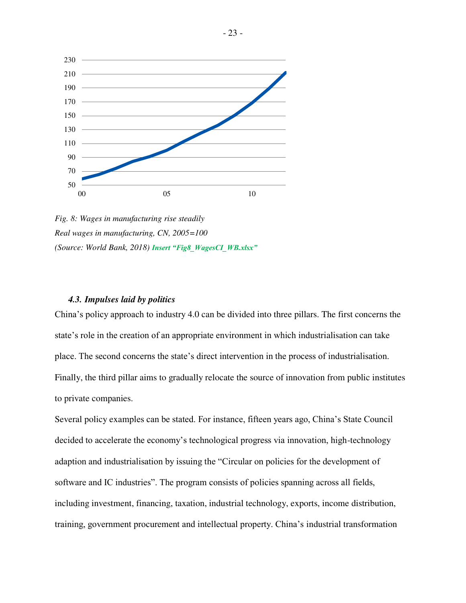

<span id="page-27-1"></span>*Fig. 8: Wages in manufacturing rise steadily Real wages in manufacturing, CN, 2005=100 (Source: World Bank, 2018) Insert "Fig8\_WagesCI\_WB.xlsx"*

#### *4.3. Impulses laid by politics*

<span id="page-27-0"></span>China's policy approach to industry 4.0 can be divided into three pillars. The first concerns the state's role in the creation of an appropriate environment in which industrialisation can take place. The second concerns the state's direct intervention in the process of industrialisation. Finally, the third pillar aims to gradually relocate the source of innovation from public institutes to private companies.

Several policy examples can be stated. For instance, fifteen years ago, China's State Council decided to accelerate the economy's technological progress via innovation, high-technology adaption and industrialisation by issuing the "Circular on policies for the development of software and IC industries". The program consists of policies spanning across all fields, including investment, financing, taxation, industrial technology, exports, income distribution, training, government procurement and intellectual property. China's industrial transformation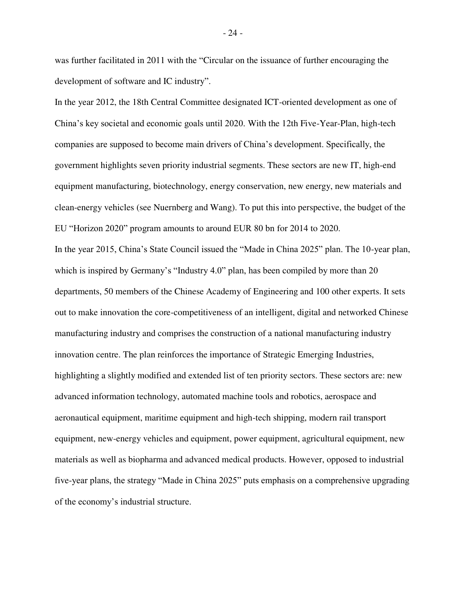was further facilitated in 2011 with the "Circular on the issuance of further encouraging the development of software and IC industry".

In the year 2012, the 18th Central Committee designated ICT-oriented development as one of China's key societal and economic goals until 2020. With the 12th Five-Year-Plan, high-tech companies are supposed to become main drivers of China's development. Specifically, the government highlights seven priority industrial segments. These sectors are new IT, high-end equipment manufacturing, biotechnology, energy conservation, new energy, new materials and clean-energy vehicles (see Nuernberg and Wang). To put this into perspective, the budget of the EU "Horizon 2020" program amounts to around EUR 80 bn for 2014 to 2020.

In the year 2015, China's State Council issued the "Made in China 2025" plan. The 10-year plan, which is inspired by Germany's "Industry 4.0" plan, has been compiled by more than 20 departments, 50 members of the Chinese Academy of Engineering and 100 other experts. It sets out to make innovation the core-competitiveness of an intelligent, digital and networked Chinese manufacturing industry and comprises the construction of a national manufacturing industry innovation centre. The plan reinforces the importance of Strategic Emerging Industries, highlighting a slightly modified and extended list of ten priority sectors. These sectors are: new advanced information technology, automated machine tools and robotics, aerospace and aeronautical equipment, maritime equipment and high-tech shipping, modern rail transport equipment, new-energy vehicles and equipment, power equipment, agricultural equipment, new materials as well as biopharma and advanced medical products. However, opposed to industrial five-year plans, the strategy "Made in China 2025" puts emphasis on a comprehensive upgrading of the economy's industrial structure.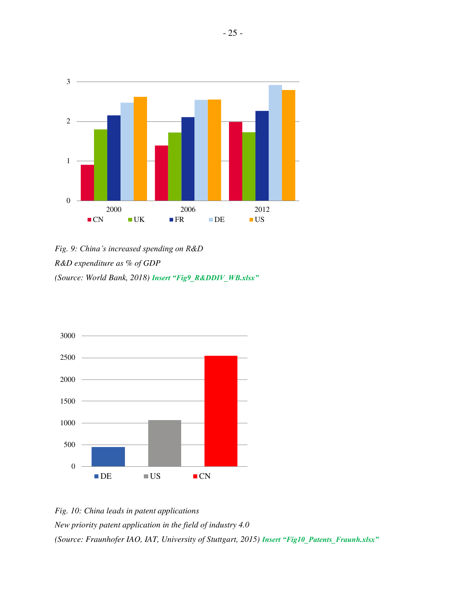

<span id="page-29-0"></span>*Fig. 9: China's increased spending on R&D R&D expenditure as % of GDP (Source: World Bank, 2018) Insert "Fig9\_R&DDIV\_WB.xlsx"*



<span id="page-29-1"></span>*Fig. 10: China leads in patent applications New priority patent application in the field of industry 4.0 (Source: Fraunhofer IAO, IAT, University of Stuttgart, 2015) Insert "Fig10\_Patents\_Fraunh.xlsx"*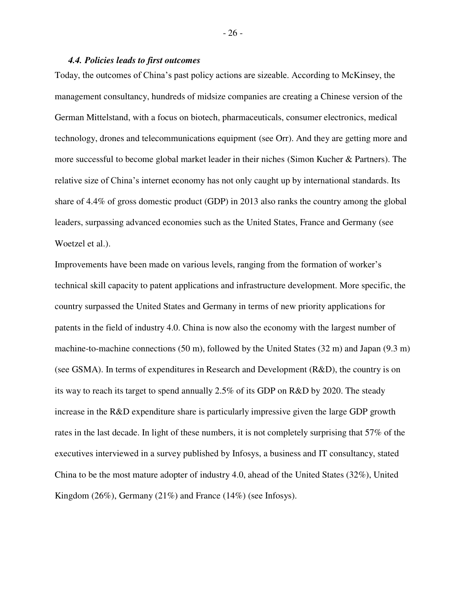#### *4.4. Policies leads to first outcomes*

<span id="page-30-0"></span>Today, the outcomes of China's past policy actions are sizeable. According to McKinsey, the management consultancy, hundreds of midsize companies are creating a Chinese version of the German Mittelstand, with a focus on biotech, pharmaceuticals, consumer electronics, medical technology, drones and telecommunications equipment (see Orr). And they are getting more and more successful to become global market leader in their niches (Simon Kucher & Partners). The relative size of China's internet economy has not only caught up by international standards. Its share of 4.4% of gross domestic product (GDP) in 2013 also ranks the country among the global leaders, surpassing advanced economies such as the United States, France and Germany (see Woetzel et al.).

Improvements have been made on various levels, ranging from the formation of worker's technical skill capacity to patent applications and infrastructure development. More specific, the country surpassed the United States and Germany in terms of new priority applications for patents in the field of industry 4.0. China is now also the economy with the largest number of machine-to-machine connections (50 m), followed by the United States (32 m) and Japan (9.3 m) (see GSMA). In terms of expenditures in Research and Development (R&D), the country is on its way to reach its target to spend annually 2.5% of its GDP on R&D by 2020. The steady increase in the R&D expenditure share is particularly impressive given the large GDP growth rates in the last decade. In light of these numbers, it is not completely surprising that 57% of the executives interviewed in a survey published by Infosys, a business and IT consultancy, stated China to be the most mature adopter of industry 4.0, ahead of the United States (32%), United Kingdom (26%), Germany (21%) and France (14%) (see Infosys).

- 26 -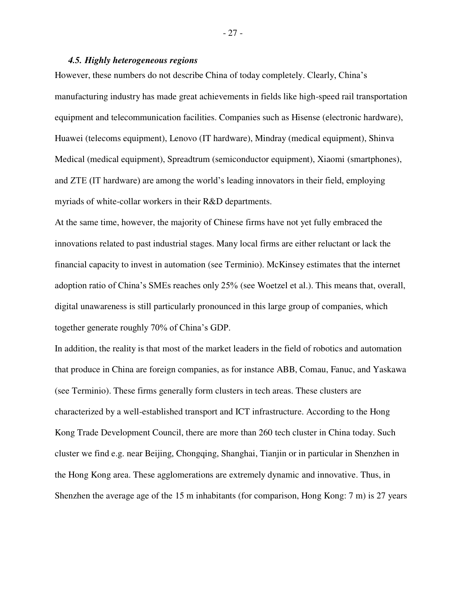#### *4.5. Highly heterogeneous regions*

<span id="page-31-0"></span>However, these numbers do not describe China of today completely. Clearly, China's manufacturing industry has made great achievements in fields like high-speed rail transportation equipment and telecommunication facilities. Companies such as Hisense (electronic hardware), Huawei (telecoms equipment), Lenovo (IT hardware), Mindray (medical equipment), Shinva Medical (medical equipment), Spreadtrum (semiconductor equipment), Xiaomi (smartphones), and ZTE (IT hardware) are among the world's leading innovators in their field, employing myriads of white-collar workers in their R&D departments.

At the same time, however, the majority of Chinese firms have not yet fully embraced the innovations related to past industrial stages. Many local firms are either reluctant or lack the financial capacity to invest in automation (see Terminio). McKinsey estimates that the internet adoption ratio of China's SMEs reaches only 25% (see Woetzel et al.). This means that, overall, digital unawareness is still particularly pronounced in this large group of companies, which together generate roughly 70% of China's GDP.

In addition, the reality is that most of the market leaders in the field of robotics and automation that produce in China are foreign companies, as for instance ABB, Comau, Fanuc, and Yaskawa (see Terminio). These firms generally form clusters in tech areas. These clusters are characterized by a well-established transport and ICT infrastructure. According to the Hong Kong Trade Development Council, there are more than 260 tech cluster in China today. Such cluster we find e.g. near Beijing, Chongqing, Shanghai, Tianjin or in particular in Shenzhen in the Hong Kong area. These agglomerations are extremely dynamic and innovative. Thus, in Shenzhen the average age of the 15 m inhabitants (for comparison, Hong Kong: 7 m) is 27 years

- 27 -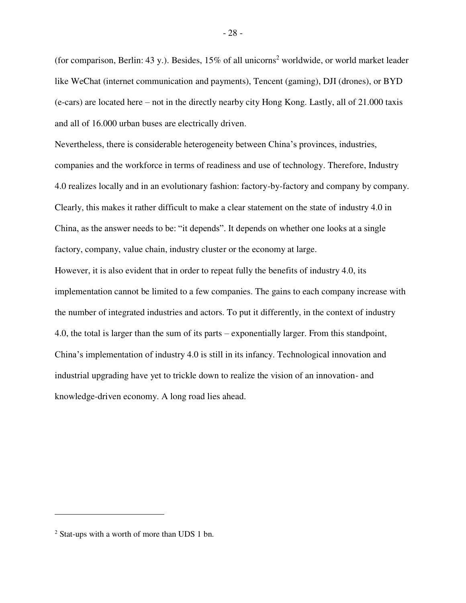(for comparison, Berlin: 43 y.). Besides,  $15\%$  of all unicorns<sup>2</sup> worldwide, or world market leader like WeChat (internet communication and payments), Tencent (gaming), DJI (drones), or BYD (e-cars) are located here – not in the directly nearby city Hong Kong. Lastly, all of 21.000 taxis and all of 16.000 urban buses are electrically driven.

Nevertheless, there is considerable heterogeneity between China's provinces, industries, companies and the workforce in terms of readiness and use of technology. Therefore, Industry 4.0 realizes locally and in an evolutionary fashion: factory-by-factory and company by company. Clearly, this makes it rather difficult to make a clear statement on the state of industry 4.0 in China, as the answer needs to be: "it depends". It depends on whether one looks at a single factory, company, value chain, industry cluster or the economy at large.

However, it is also evident that in order to repeat fully the benefits of industry 4.0, its implementation cannot be limited to a few companies. The gains to each company increase with the number of integrated industries and actors. To put it differently, in the context of industry 4.0, the total is larger than the sum of its parts – exponentially larger. From this standpoint, China's implementation of industry 4.0 is still in its infancy. Technological innovation and industrial upgrading have yet to trickle down to realize the vision of an innovation- and knowledge-driven economy. A long road lies ahead.

 $\overline{a}$ 

<sup>2</sup> Stat-ups with a worth of more than UDS 1 bn.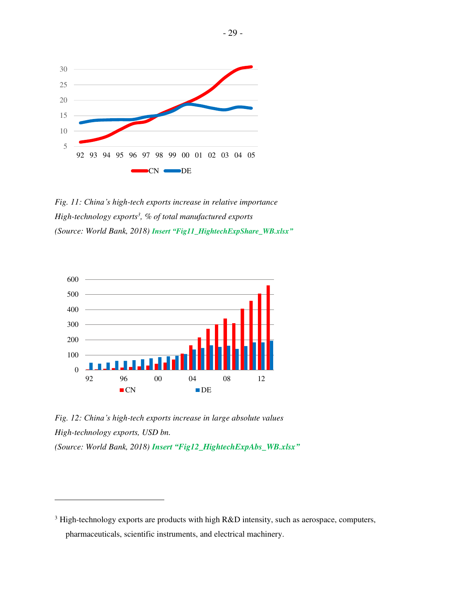

<span id="page-33-0"></span>*Fig. 11: China's high-tech exports increase in relative importance High-technology exports<sup>3</sup> , % of total manufactured exports (Source: World Bank, 2018) Insert "Fig11\_HightechExpShare\_WB.xlsx"*



<span id="page-33-1"></span>*Fig. 12: China's high-tech exports increase in large absolute values High-technology exports, USD bn. (Source: World Bank, 2018) Insert "Fig12\_HightechExpAbs\_WB.xlsx"*

 $\overline{a}$ 

 $3$  High-technology exports are products with high R&D intensity, such as aerospace, computers, pharmaceuticals, scientific instruments, and electrical machinery.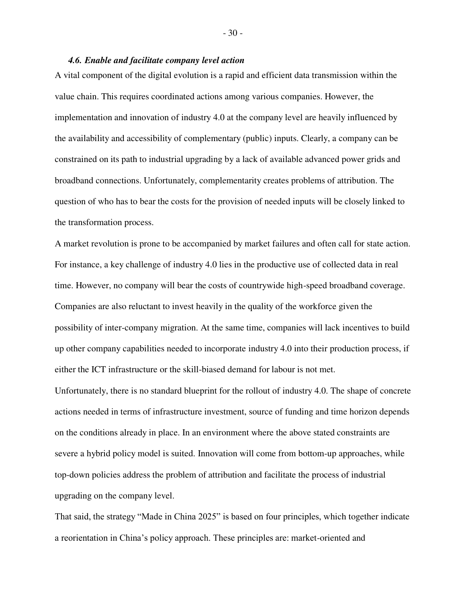#### *4.6. Enable and facilitate company level action*

<span id="page-34-0"></span>A vital component of the digital evolution is a rapid and efficient data transmission within the value chain. This requires coordinated actions among various companies. However, the implementation and innovation of industry 4.0 at the company level are heavily influenced by the availability and accessibility of complementary (public) inputs. Clearly, a company can be constrained on its path to industrial upgrading by a lack of available advanced power grids and broadband connections. Unfortunately, complementarity creates problems of attribution. The question of who has to bear the costs for the provision of needed inputs will be closely linked to the transformation process.

A market revolution is prone to be accompanied by market failures and often call for state action. For instance, a key challenge of industry 4.0 lies in the productive use of collected data in real time. However, no company will bear the costs of countrywide high-speed broadband coverage. Companies are also reluctant to invest heavily in the quality of the workforce given the possibility of inter-company migration. At the same time, companies will lack incentives to build up other company capabilities needed to incorporate industry 4.0 into their production process, if either the ICT infrastructure or the skill-biased demand for labour is not met.

Unfortunately, there is no standard blueprint for the rollout of industry 4.0. The shape of concrete actions needed in terms of infrastructure investment, source of funding and time horizon depends on the conditions already in place. In an environment where the above stated constraints are severe a hybrid policy model is suited. Innovation will come from bottom-up approaches, while top-down policies address the problem of attribution and facilitate the process of industrial upgrading on the company level.

That said, the strategy "Made in China 2025" is based on four principles, which together indicate a reorientation in China's policy approach. These principles are: market-oriented and

- 30 -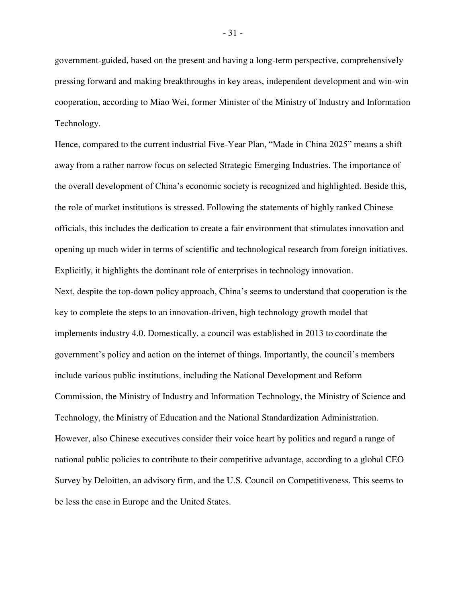government-guided, based on the present and having a long-term perspective, comprehensively pressing forward and making breakthroughs in key areas, independent development and win-win cooperation, according to Miao Wei, former Minister of the Ministry of Industry and Information Technology.

Hence, compared to the current industrial Five-Year Plan, "Made in China 2025" means a shift away from a rather narrow focus on selected Strategic Emerging Industries. The importance of the overall development of China's economic society is recognized and highlighted. Beside this, the role of market institutions is stressed. Following the statements of highly ranked Chinese officials, this includes the dedication to create a fair environment that stimulates innovation and opening up much wider in terms of scientific and technological research from foreign initiatives. Explicitly, it highlights the dominant role of enterprises in technology innovation.

Next, despite the top-down policy approach, China's seems to understand that cooperation is the key to complete the steps to an innovation-driven, high technology growth model that implements industry 4.0. Domestically, a council was established in 2013 to coordinate the government's policy and action on the internet of things. Importantly, the council's members include various public institutions, including the National Development and Reform Commission, the Ministry of Industry and Information Technology, the Ministry of Science and Technology, the Ministry of Education and the National Standardization Administration. However, also Chinese executives consider their voice heart by politics and regard a range of national public policies to contribute to their competitive advantage, according to a global CEO Survey by Deloitten, an advisory firm, and the U.S. Council on Competitiveness. This seems to be less the case in Europe and the United States.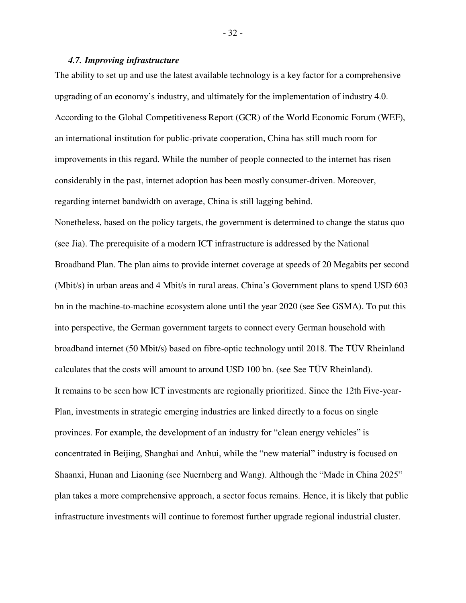#### *4.7. Improving infrastructure*

<span id="page-36-0"></span>The ability to set up and use the latest available technology is a key factor for a comprehensive upgrading of an economy's industry, and ultimately for the implementation of industry 4.0. According to the Global Competitiveness Report (GCR) of the World Economic Forum (WEF), an international institution for public-private cooperation, China has still much room for improvements in this regard. While the number of people connected to the internet has risen considerably in the past, internet adoption has been mostly consumer-driven. Moreover, regarding internet bandwidth on average, China is still lagging behind.

Nonetheless, based on the policy targets, the government is determined to change the status quo (see Jia). The prerequisite of a modern ICT infrastructure is addressed by the National Broadband Plan. The plan aims to provide internet coverage at speeds of 20 Megabits per second (Mbit/s) in urban areas and 4 Mbit/s in rural areas. China's Government plans to spend USD 603 bn in the machine-to-machine ecosystem alone until the year 2020 (see See GSMA). To put this into perspective, the German government targets to connect every German household with broadband internet (50 Mbit/s) based on fibre-optic technology until 2018. The TÜV Rheinland calculates that the costs will amount to around USD 100 bn. (see See TÜV Rheinland). It remains to be seen how ICT investments are regionally prioritized. Since the 12th Five-year-Plan, investments in strategic emerging industries are linked directly to a focus on single provinces. For example, the development of an industry for "clean energy vehicles" is concentrated in Beijing, Shanghai and Anhui, while the "new material" industry is focused on Shaanxi, Hunan and Liaoning (see Nuernberg and Wang). Although the "Made in China 2025" plan takes a more comprehensive approach, a sector focus remains. Hence, it is likely that public infrastructure investments will continue to foremost further upgrade regional industrial cluster.

- 32 -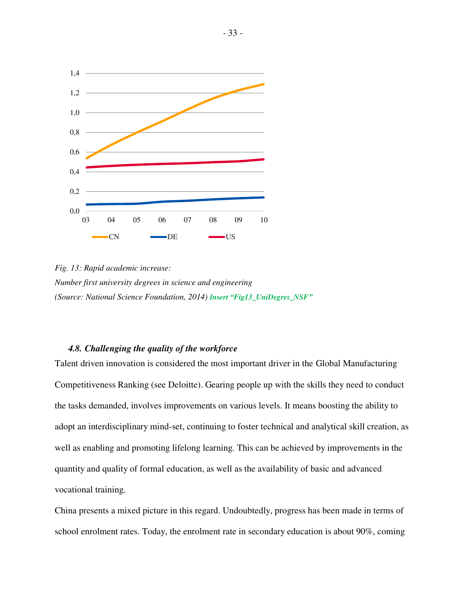

<span id="page-37-1"></span>*Fig. 13: Rapid academic increase: Number first university degrees in science and engineering (Source: National Science Foundation, 2014) Insert "Fig13\_UniDegres\_NSF"*

# *4.8. Challenging the quality of the workforce*

<span id="page-37-0"></span>Talent driven innovation is considered the most important driver in the Global Manufacturing Competitiveness Ranking (see Deloitte). Gearing people up with the skills they need to conduct the tasks demanded, involves improvements on various levels. It means boosting the ability to adopt an interdisciplinary mind-set, continuing to foster technical and analytical skill creation, as well as enabling and promoting lifelong learning. This can be achieved by improvements in the quantity and quality of formal education, as well as the availability of basic and advanced vocational training.

China presents a mixed picture in this regard. Undoubtedly, progress has been made in terms of school enrolment rates. Today, the enrolment rate in secondary education is about 90%, coming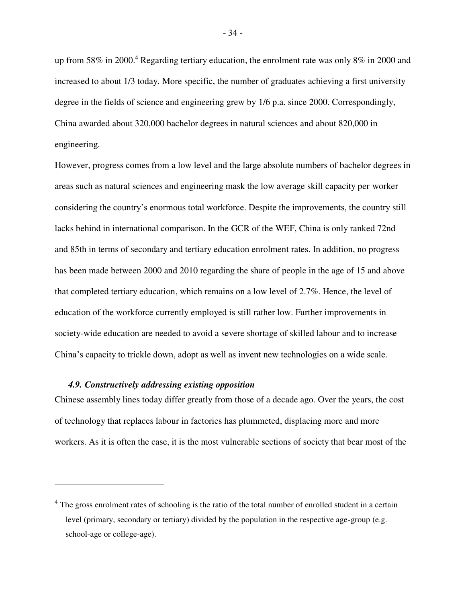up from 58% in 2000.<sup>4</sup> Regarding tertiary education, the enrolment rate was only 8% in 2000 and increased to about 1/3 today. More specific, the number of graduates achieving a first university degree in the fields of science and engineering grew by 1/6 p.a. since 2000. Correspondingly, China awarded about 320,000 bachelor degrees in natural sciences and about 820,000 in engineering.

However, progress comes from a low level and the large absolute numbers of bachelor degrees in areas such as natural sciences and engineering mask the low average skill capacity per worker considering the country's enormous total workforce. Despite the improvements, the country still lacks behind in international comparison. In the GCR of the WEF, China is only ranked 72nd and 85th in terms of secondary and tertiary education enrolment rates. In addition, no progress has been made between 2000 and 2010 regarding the share of people in the age of 15 and above that completed tertiary education, which remains on a low level of 2.7%. Hence, the level of education of the workforce currently employed is still rather low. Further improvements in society-wide education are needed to avoid a severe shortage of skilled labour and to increase China's capacity to trickle down, adopt as well as invent new technologies on a wide scale.

#### *4.9. Constructively addressing existing opposition*

 $\overline{a}$ 

<span id="page-38-0"></span>Chinese assembly lines today differ greatly from those of a decade ago. Over the years, the cost of technology that replaces labour in factories has plummeted, displacing more and more workers. As it is often the case, it is the most vulnerable sections of society that bear most of the

<sup>&</sup>lt;sup>4</sup> The gross enrolment rates of schooling is the ratio of the total number of enrolled student in a certain level (primary, secondary or tertiary) divided by the population in the respective age-group (e.g. school-age or college-age).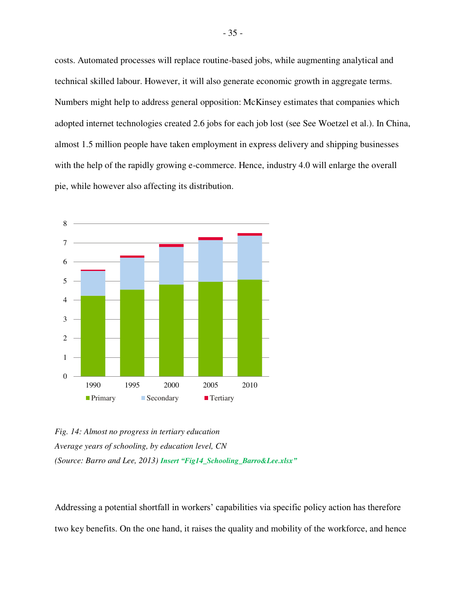costs. Automated processes will replace routine-based jobs, while augmenting analytical and technical skilled labour. However, it will also generate economic growth in aggregate terms. Numbers might help to address general opposition: McKinsey estimates that companies which adopted internet technologies created 2.6 jobs for each job lost (see See Woetzel et al.). In China, almost 1.5 million people have taken employment in express delivery and shipping businesses with the help of the rapidly growing e-commerce. Hence, industry 4.0 will enlarge the overall pie, while however also affecting its distribution.



<span id="page-39-0"></span>*Fig. 14: Almost no progress in tertiary education Average years of schooling, by education level, CN (Source: Barro and Lee, 2013) Insert "Fig14\_Schooling\_Barro&Lee.xlsx"*

Addressing a potential shortfall in workers' capabilities via specific policy action has therefore two key benefits. On the one hand, it raises the quality and mobility of the workforce, and hence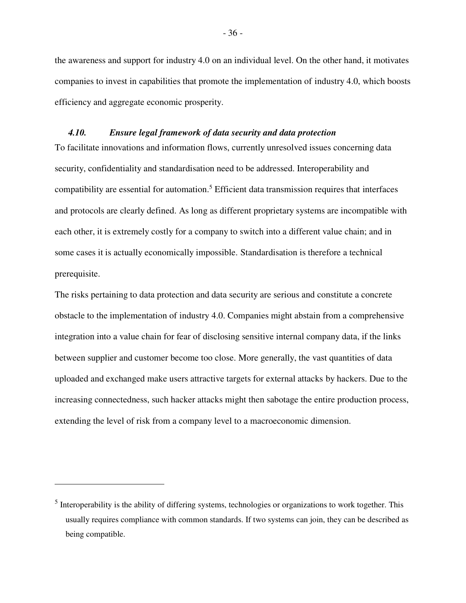the awareness and support for industry 4.0 on an individual level. On the other hand, it motivates companies to invest in capabilities that promote the implementation of industry 4.0, which boosts efficiency and aggregate economic prosperity.

#### *4.10. Ensure legal framework of data security and data protection*

<span id="page-40-0"></span>To facilitate innovations and information flows, currently unresolved issues concerning data security, confidentiality and standardisation need to be addressed. Interoperability and compatibility are essential for automation.<sup>5</sup> Efficient data transmission requires that interfaces and protocols are clearly defined. As long as different proprietary systems are incompatible with each other, it is extremely costly for a company to switch into a different value chain; and in some cases it is actually economically impossible. Standardisation is therefore a technical prerequisite.

The risks pertaining to data protection and data security are serious and constitute a concrete obstacle to the implementation of industry 4.0. Companies might abstain from a comprehensive integration into a value chain for fear of disclosing sensitive internal company data, if the links between supplier and customer become too close. More generally, the vast quantities of data uploaded and exchanged make users attractive targets for external attacks by hackers. Due to the increasing connectedness, such hacker attacks might then sabotage the entire production process, extending the level of risk from a company level to a macroeconomic dimension.

 $\overline{a}$ 

<sup>&</sup>lt;sup>5</sup> Interoperability is the ability of differing systems, technologies or organizations to work together. This usually requires compliance with common standards. If two systems can join, they can be described as being compatible.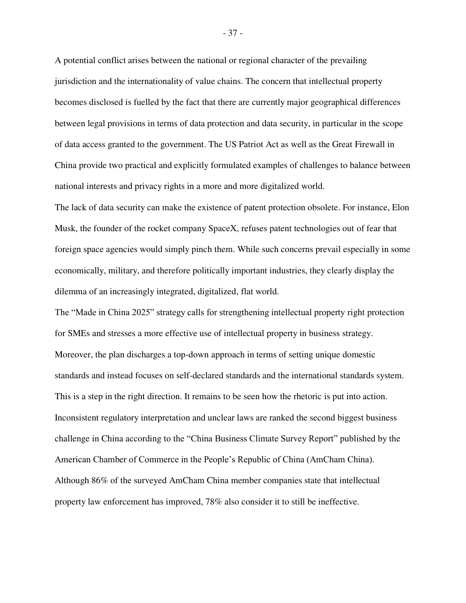A potential conflict arises between the national or regional character of the prevailing jurisdiction and the internationality of value chains. The concern that intellectual property becomes disclosed is fuelled by the fact that there are currently major geographical differences between legal provisions in terms of data protection and data security, in particular in the scope of data access granted to the government. The US Patriot Act as well as the Great Firewall in China provide two practical and explicitly formulated examples of challenges to balance between national interests and privacy rights in a more and more digitalized world.

The lack of data security can make the existence of patent protection obsolete. For instance, Elon Musk, the founder of the rocket company SpaceX, refuses patent technologies out of fear that foreign space agencies would simply pinch them. While such concerns prevail especially in some economically, military, and therefore politically important industries, they clearly display the dilemma of an increasingly integrated, digitalized, flat world.

The "Made in China 2025" strategy calls for strengthening intellectual property right protection for SMEs and stresses a more effective use of intellectual property in business strategy. Moreover, the plan discharges a top-down approach in terms of setting unique domestic standards and instead focuses on self-declared standards and the international standards system. This is a step in the right direction. It remains to be seen how the rhetoric is put into action. Inconsistent regulatory interpretation and unclear laws are ranked the second biggest business challenge in China according to the "China Business Climate Survey Report" published by the American Chamber of Commerce in the People's Republic of China (AmCham China). Although 86% of the surveyed AmCham China member companies state that intellectual property law enforcement has improved, 78% also consider it to still be ineffective.

- 37 -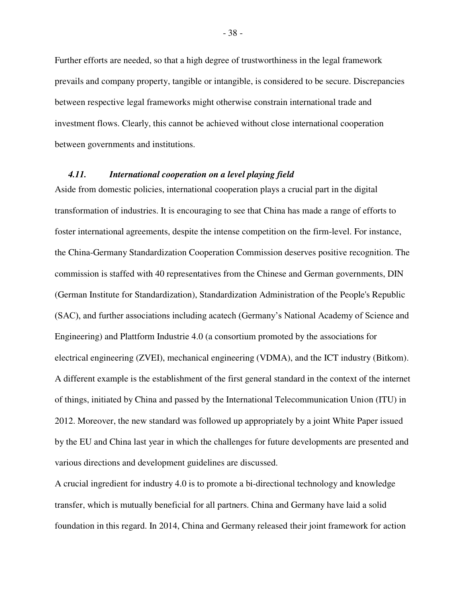Further efforts are needed, so that a high degree of trustworthiness in the legal framework prevails and company property, tangible or intangible, is considered to be secure. Discrepancies between respective legal frameworks might otherwise constrain international trade and investment flows. Clearly, this cannot be achieved without close international cooperation between governments and institutions.

#### *4.11. International cooperation on a level playing field*

<span id="page-42-0"></span>Aside from domestic policies, international cooperation plays a crucial part in the digital transformation of industries. It is encouraging to see that China has made a range of efforts to foster international agreements, despite the intense competition on the firm-level. For instance, the China-Germany Standardization Cooperation Commission deserves positive recognition. The commission is staffed with 40 representatives from the Chinese and German governments, DIN (German Institute for Standardization), Standardization Administration of the People's Republic (SAC), and further associations including acatech (Germany's National Academy of Science and Engineering) and Plattform Industrie 4.0 (a consortium promoted by the associations for electrical engineering (ZVEI), mechanical engineering (VDMA), and the ICT industry (Bitkom). A different example is the establishment of the first general standard in the context of the internet of things, initiated by China and passed by the International Telecommunication Union (ITU) in 2012. Moreover, the new standard was followed up appropriately by a joint White Paper issued by the EU and China last year in which the challenges for future developments are presented and various directions and development guidelines are discussed.

A crucial ingredient for industry 4.0 is to promote a bi-directional technology and knowledge transfer, which is mutually beneficial for all partners. China and Germany have laid a solid foundation in this regard. In 2014, China and Germany released their joint framework for action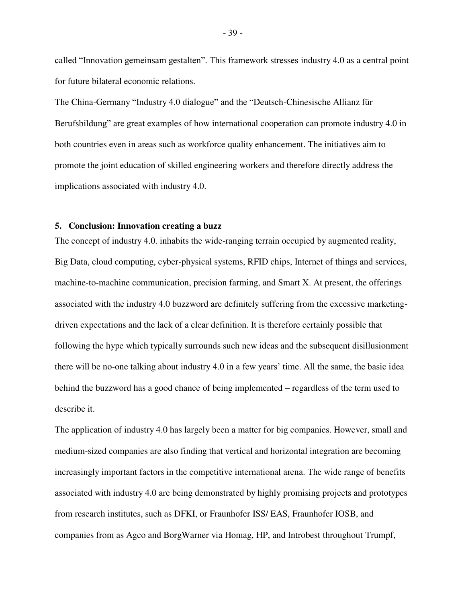called "Innovation gemeinsam gestalten". This framework stresses industry 4.0 as a central point for future bilateral economic relations.

The China-Germany "Industry 4.0 dialogue" and the "Deutsch-Chinesische Allianz für Berufsbildung" are great examples of how international cooperation can promote industry 4.0 in both countries even in areas such as workforce quality enhancement. The initiatives aim to promote the joint education of skilled engineering workers and therefore directly address the implications associated with industry 4.0.

#### **5. Conclusion: Innovation creating a buzz**

<span id="page-43-0"></span>The concept of industry 4.0. inhabits the wide-ranging terrain occupied by augmented reality, Big Data, cloud computing, cyber-physical systems, RFID chips, Internet of things and services, machine-to-machine communication, precision farming, and Smart X. At present, the offerings associated with the industry 4.0 buzzword are definitely suffering from the excessive marketingdriven expectations and the lack of a clear definition. It is therefore certainly possible that following the hype which typically surrounds such new ideas and the subsequent disillusionment there will be no-one talking about industry 4.0 in a few years' time. All the same, the basic idea behind the buzzword has a good chance of being implemented – regardless of the term used to describe it.

The application of industry 4.0 has largely been a matter for big companies. However, small and medium-sized companies are also finding that vertical and horizontal integration are becoming increasingly important factors in the competitive international arena. The wide range of benefits associated with industry 4.0 are being demonstrated by highly promising projects and prototypes from research institutes, such as DFKI, or Fraunhofer ISS/ EAS, Fraunhofer IOSB, and companies from as Agco and BorgWarner via Homag, HP, and Introbest throughout Trumpf,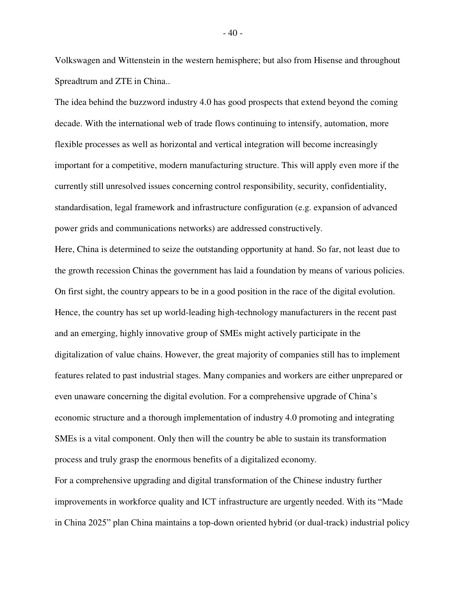Volkswagen and Wittenstein in the western hemisphere; but also from Hisense and throughout Spreadtrum and ZTE in China..

The idea behind the buzzword industry 4.0 has good prospects that extend beyond the coming decade. With the international web of trade flows continuing to intensify, automation, more flexible processes as well as horizontal and vertical integration will become increasingly important for a competitive, modern manufacturing structure. This will apply even more if the currently still unresolved issues concerning control responsibility, security, confidentiality, standardisation, legal framework and infrastructure configuration (e.g. expansion of advanced power grids and communications networks) are addressed constructively.

Here, China is determined to seize the outstanding opportunity at hand. So far, not least due to the growth recession Chinas the government has laid a foundation by means of various policies. On first sight, the country appears to be in a good position in the race of the digital evolution. Hence, the country has set up world-leading high-technology manufacturers in the recent past and an emerging, highly innovative group of SMEs might actively participate in the digitalization of value chains. However, the great majority of companies still has to implement features related to past industrial stages. Many companies and workers are either unprepared or even unaware concerning the digital evolution. For a comprehensive upgrade of China's economic structure and a thorough implementation of industry 4.0 promoting and integrating SMEs is a vital component. Only then will the country be able to sustain its transformation process and truly grasp the enormous benefits of a digitalized economy.

For a comprehensive upgrading and digital transformation of the Chinese industry further improvements in workforce quality and ICT infrastructure are urgently needed. With its "Made in China 2025" plan China maintains a top-down oriented hybrid (or dual-track) industrial policy

- 40 -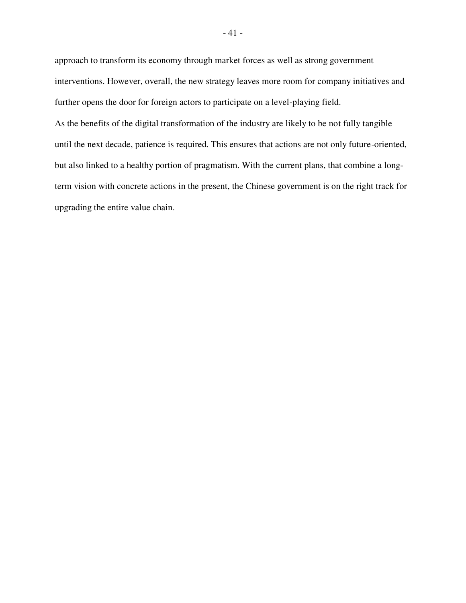approach to transform its economy through market forces as well as strong government interventions. However, overall, the new strategy leaves more room for company initiatives and further opens the door for foreign actors to participate on a level-playing field. As the benefits of the digital transformation of the industry are likely to be not fully tangible until the next decade, patience is required. This ensures that actions are not only future-oriented, but also linked to a healthy portion of pragmatism. With the current plans, that combine a longterm vision with concrete actions in the present, the Chinese government is on the right track for upgrading the entire value chain.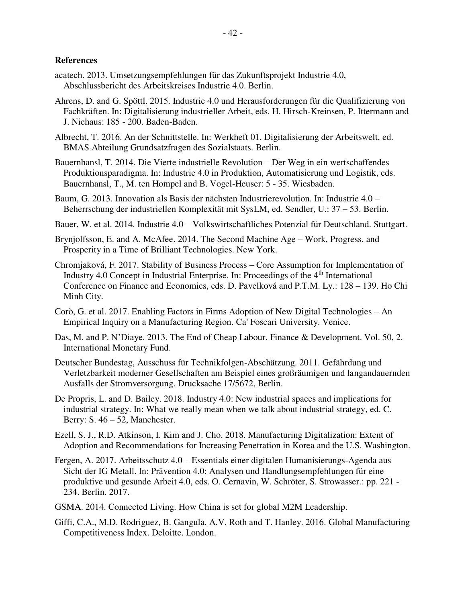#### **References**

- acatech. 2013. Umsetzungsempfehlungen für das Zukunftsprojekt Industrie 4.0, Abschlussbericht des Arbeitskreises Industrie 4.0. Berlin.
- <span id="page-46-0"></span>Ahrens, D. and G. Spöttl. 2015. Industrie 4.0 und Herausforderungen für die Qualifizierung von Fachkräften. In: Digitalisierung industrieller Arbeit, eds. H. Hirsch-Kreinsen, P. Ittermann and J. Niehaus: 185 - 200. Baden-Baden.
- Albrecht, T. 2016. An der Schnittstelle. In: Werkheft 01. Digitalisierung der Arbeitswelt, ed. BMAS Abteilung Grundsatzfragen des Sozialstaats. Berlin.
- Bauernhansl, T. 2014. Die Vierte industrielle Revolution Der Weg in ein wertschaffendes Produktionsparadigma. In: Industrie 4.0 in Produktion, Automatisierung und Logistik, eds. Bauernhansl, T., M. ten Hompel and B. Vogel-Heuser: 5 - 35. Wiesbaden.
- Baum, G. 2013. Innovation als Basis der nächsten Industrierevolution. In: Industrie 4.0 Beherrschung der industriellen Komplexität mit SysLM, ed. Sendler, U.: 37 – 53. Berlin.
- Bauer, W. et al. 2014. Industrie 4.0 Volkswirtschaftliches Potenzial für Deutschland. Stuttgart.
- Brynjolfsson, E. and A. McAfee. 2014. The Second Machine Age Work, Progress, and Prosperity in a Time of Brilliant Technologies. New York.
- Chromjaková, F. 2017. Stability of Business Process Core Assumption for Implementation of Industry 4.0 Concept in Industrial Enterprise. In: Proceedings of the 4<sup>th</sup> International Conference on Finance and Economics, eds. D. Pavelková and P.T.M. Ly.: 128 – 139. Ho Chi Minh City.
- Corò, G. et al. 2017. Enabling Factors in Firms Adoption of New Digital Technologies An Empirical Inquiry on a Manufacturing Region. Ca' Foscari University. Venice.
- Das, M. and P. N'Diaye. 2013. The End of Cheap Labour. Finance & Development. Vol. 50, 2. International Monetary Fund.
- Deutscher Bundestag, Ausschuss für Technikfolgen-Abschätzung. 2011. Gefährdung und Verletzbarkeit moderner Gesellschaften am Beispiel eines großräumigen und langandauernden Ausfalls der Stromversorgung. Drucksache 17/5672, Berlin.
- De Propris, L. and D. Bailey. 2018. Industry 4.0: New industrial spaces and implications for industrial strategy. In: What we really mean when we talk about industrial strategy, ed. C. Berry: S.  $46 - 52$ , Manchester.
- Ezell, S. J., R.D. Atkinson, I. Kim and J. Cho. 2018. Manufacturing Digitalization: Extent of Adoption and Recommendations for Increasing Penetration in Korea and the U.S. Washington.
- Fergen, A. 2017. Arbeitsschutz 4.0 Essentials einer digitalen Humanisierungs-Agenda aus Sicht der IG Metall. In: Prävention 4.0: Analysen und Handlungsempfehlungen für eine produktive und gesunde Arbeit 4.0, eds. O. Cernavin, W. Schröter, S. Strowasser.: pp. 221 - 234. Berlin. 2017.
- GSMA. 2014. Connected Living. How China is set for global M2M Leadership.
- Giffi, C.A., M.D. Rodriguez, B. Gangula, A.V. Roth and T. Hanley. 2016. Global Manufacturing Competitiveness Index. Deloitte. London.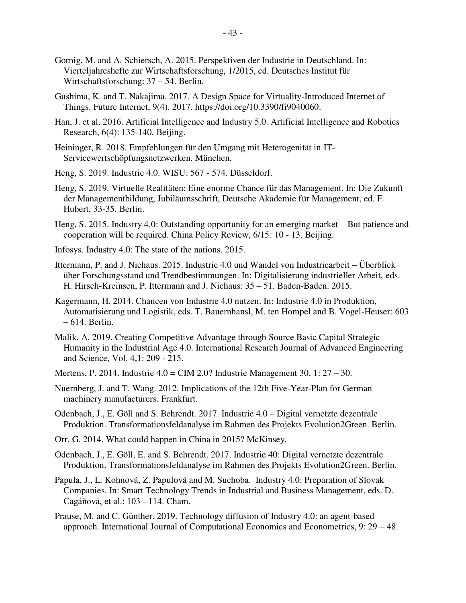- Gornig, M. and A. Schiersch, A. 2015. Perspektiven der Industrie in Deutschland. In: Vierteljahreshefte zur Wirtschaftsforschung, 1/2015, ed. Deutsches Institut für Wirtschaftsforschung: 37 – 54. Berlin.
- Gushima, K. and T. Nakajima. 2017. A Design Space for Virtuality-Introduced Internet of Things. Future Internet, 9(4). 2017. https://doi.org/10.3390/fi9040060.
- Han, J. et al. 2016. Artificial Intelligence and Industry 5.0. Artificial Intelligence and Robotics Research, 6(4): 135-140. Beijing.
- Heininger, R. 2018. Empfehlungen für den Umgang mit Heterogenität in IT-Servicewertschöpfungsnetzwerken. München.
- Heng, S. 2019. Industrie 4.0. WISU: 567 574. Düsseldorf.
- Heng, S. 2019. Virtuelle Realitäten: Eine enorme Chance für das Management. In: Die Zukunft der Managementbildung, Jubiläumsschrift, Deutsche Akademie für Management, ed. F. Hubert, 33-35. Berlin.
- Heng, S. 2015. Industry 4.0: Outstanding opportunity for an emerging market But patience and cooperation will be required. China Policy Review, 6/15: 10 - 13. Beijing.
- Infosys. Industry 4.0: The state of the nations. 2015.
- Ittermann, P. and J. Niehaus. 2015. Industrie 4.0 und Wandel von Industriearbeit Überblick über Forschungsstand und Trendbestimmungen. In: Digitalisierung industrieller Arbeit, eds. H. Hirsch-Kreinsen, P. Ittermann and J. Niehaus: 35 – 51. Baden-Baden. 2015.
- Kagermann, H. 2014. Chancen von Industrie 4.0 nutzen. In: Industrie 4.0 in Produktion, Automatisierung und Logistik, eds. T. Bauernhansl, M. ten Hompel and B. Vogel-Heuser: 603 – 614. Berlin.
- Malik, A. 2019. Creating Competitive Advantage through Source Basic Capital Strategic Humanity in the Industrial Age 4.0. International Research Journal of Advanced Engineering and Science, Vol. 4,1: 209 - 215.
- Mertens, P. 2014. Industrie 4.0 = CIM 2.0? Industrie Management 30, 1: 27 30.
- Nuernberg, J. and T. Wang. 2012. Implications of the 12th Five-Year-Plan for German machinery manufacturers. Frankfurt.
- Odenbach, J., E. Göll and S. Behrendt. 2017. Industrie 4.0 Digital vernetzte dezentrale Produktion. Transformationsfeldanalyse im Rahmen des Projekts Evolution2Green. Berlin.
- Orr, G. 2014. What could happen in China in 2015? McKinsey.
- Odenbach, J., E. Göll, E. and S. Behrendt. 2017. Industrie 40: Digital vernetzte dezentrale Produktion. Transformationsfeldanalyse im Rahmen des Projekts Evolution2Green. Berlin.
- Papula, J., L. Kohnová, Z. Papulová and M. Suchoba. Industry 4.0: Preparation of Slovak Companies. In: Smart Technology Trends in Industrial and Business Management, eds. D. Cagáňová, et al.: 103 - 114. Cham.
- Prause, M. and C. Günther. 2019. Technology diffusion of Industry 4.0: an agent-based approach. International Journal of Computational Economics and Econometrics, 9: 29 – 48.